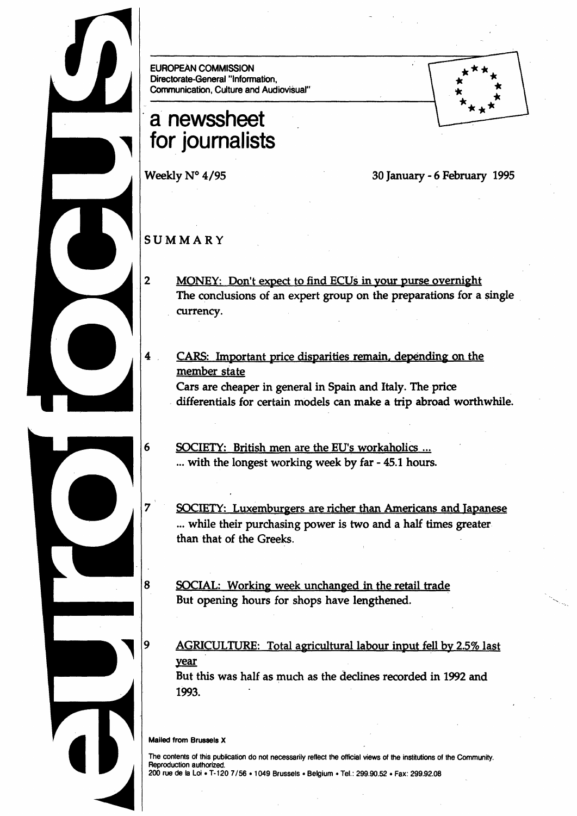EUROPEAN COMMISSION Directorate-General "Information, Communication, Culture and Audiovisual"

# · **a· newssheet for journalists**

Weekly N° 4/95 30 January - 6 February 1995

## **SUMMARY**

2 MONEY: Don't expect to find ECUs in your purse overnight The conclusions of an expert group on the preparations for a single currency.

4 CARS: Important price disparities remain. depending on the member state Cars are cheaper in general in Spain and Italy. The price . differentials for certain models can make a trip abroad worthwhile.

6 SOCIETY: British men are the EU's workaholics ... ... with the longest working week by far - 45.1 hours.

7 **SOCIETY: Luxemburgers are richer than Americans and Japanese** ... while their purchasing power is two and a half times greater than that of the Greeks.

8 SOCIAL: Working week unchanged in the retail trade But opening hours for shops have lengthened.

AGRICULTURE: Total agricultural labour input fell by 2.5% last year But this was half as much as the declines recorded in 1992 and

1993.

#### Mailed from Brussels X

q

The contents of this publication do not necessarily reflect the official views of the institutions of the Community. Reproduction authorized. 200 rue de Ia Loi • T-120 7/56 •1049 Brussels • Belgium • Tel.: 299.90.52 • Fax: 299.92.08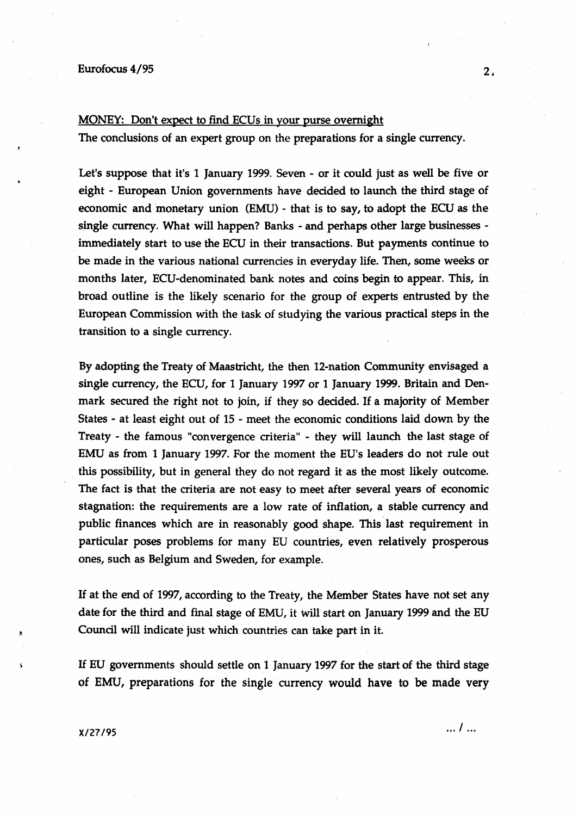#### MONEY: Don't expect to find ECUs in your purse overnight

The conclusions of an expert group on the preparations for a single currency.

Let's suppose that it's 1 January 1999. Seven - or it could just as well be five or eight - European Union governments have decided to launch the third stage of economic and monetary union  $(EMU)$  - that is to say, to adopt the ECU as the single currency. What will happen? Banks- and perhaps other large businessesimmediately start to use the ECU in their transactions. But payments continue to be made in the various national currencies in everyday life. Then, some weeks or months later, ECU-denominated bank notes and coins begin to appear. This, in broad outline is the likely scenario for the group of experts entrusted by the European Commission with the task of studying the various practical steps in the transition to a single currency.

By adopting the Treaty of Maastricht, the then 12-nation Community envisaged a single currency, the ECU, for 1 January 1997 or 1 January 1999. Britain and Denmark secured the right not to join, if they so decided. If a majority of Member States - at least eight out of 15 - meet the economic conditions laid down by the Treaty - the famous "convergence criteria" - they will launch the last stage of EMU as from 1 January 1997. For the moment the EU's leaders do not rule out . this possibility, but in general they do not regard it as the most likely outcome. The fact is that the criteria are not easy to meet after several years of economic stagnation: the requirements are a low rate of inflation, a stable currency and public finances which are in reasonably good shape. This last requirement in particular poses problems for many EU countries, even relatively prosperous ones, such as Belgium and Sweden, for example.

H at the end of 1997, according to the Treaty, the Member States have not set any date for the third and final stage of EMU, it will start on January 1999 and the EU Council will indicate just which countries can take part in it.

H EU governments should settle on l January 1997 for the start of the third stage of EMU, preparations for the single currency would have to be made very

~.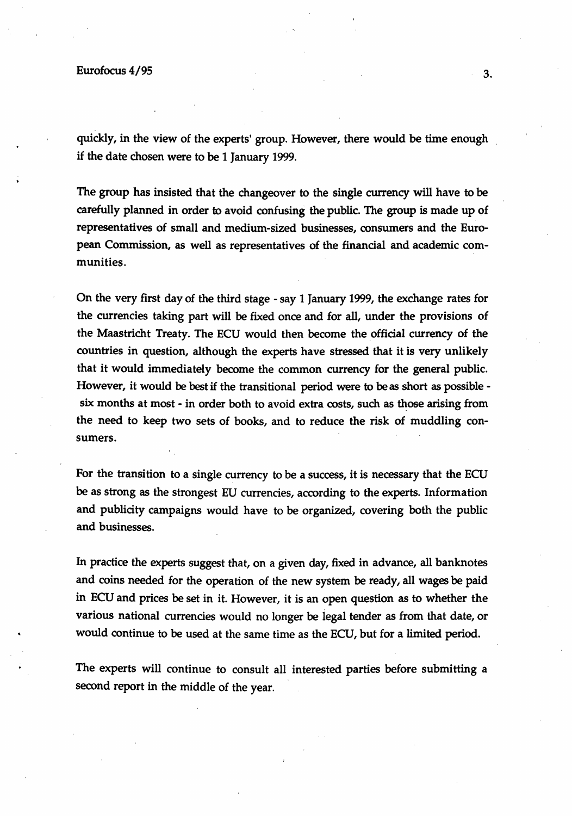quickly, in the view of the experts' group. However, there would be time enough if the date chosen were to be 1 January 1999.

The group has insisted that the changeover to the single currency will have to be carefully planned in order to avoid confusing the public. The group is made up of representatives of small and medium-sized businesses, consumers and the European Commission, as well as representatives of the financial and academic communities.

On the very first day of the third stage - say 1 January 1999, the exchange rates for the currencies taking part will be fixed once and for all, under the provisions of the Maastricht Treaty. The ECU would then become the official currency of the countries in question, although the experts have stressed that it is very unlikely that it would immediately become the common currency for the general public. However, it would be best if the transitional period were to be as short as possible six months at most - in order both to avoid extra costs, such as those arising from the need to keep two sets of books, and to reduce the risk of muddling consumers.

For the transition to a single currency to be a success, it is necessary that the ECU be as strong as the strongest EU currencies, according to the experts. Information and publicity campaigns would have to be organized, covering both the public and businesses.

In practice the experts suggest that, on a given day, fixed in advance, all banknotes and coins needed for the operation of the new system be ready, all wages be paid in ECU and prices be set in it. However, it is an open question as to whether the various national currencies would no longer be legal tender as from that date, or would continue to be used at the same time as the ECU, but for a limited period.

The experts will continue to consult all interested parties before submitting a second report in the middle of the year.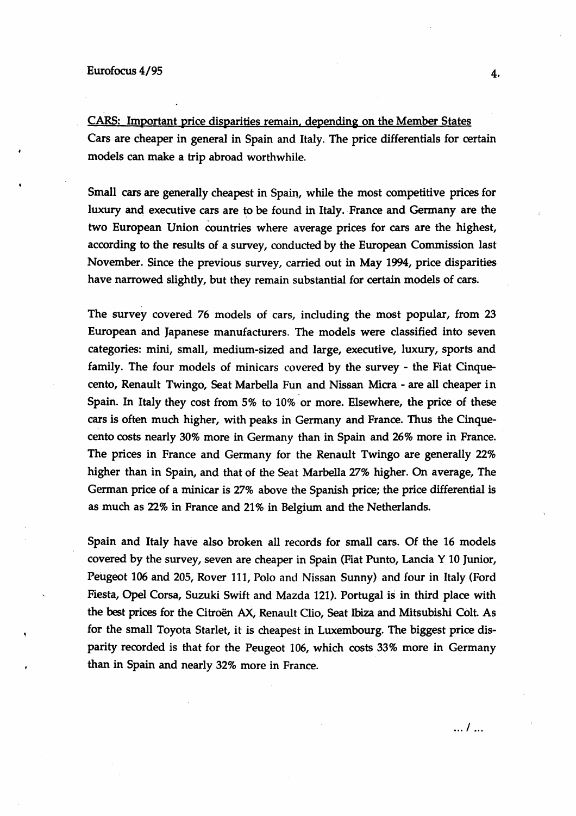CARS: Important price disparities remain, depending on the Member States Cars are cheaper in general in Spain and Italy. The price differentials for certain models can make a trip abroad worthwhile.

Small cars are generally cheapest in Spain, while the most competitive prices for luxury and executive cars are to be found in Italy. France and Germany are the two European Union countries where average prices for cars are the highest, according to the results of a survey, conducted by the European Commission last November. Since the previous survey, carried out in May 1994, price disparities have narrowed slightly, but they remain substantial for certain models of cars.

The survey covered 76 models of cars, including the most popular, from 23 European and Japanese manufacturers. The models were classified into seven categories: mini, small, medium-sized and large, executive, luxury, sports and family. The four models of minicars covered by the survey - the Fiat Cinquecento, Renault Twingo, Seat Marbella Fun and Nissan Micra- are all cheaper in Spain. In Italy they cost from 5% to 10% or more. Elsewhere, the price of these cars is often much higher, with peaks in Germany and France. Thus the Cinquecento costs nearly 30% more in Germany than in Spain and 26% more in France. The prices in France and Germany for the Renault Twingo are generally 22% higher than in Spain, and that of the Seat Marbella 27% higher. On average, The German price of a minicar is 27% above the Spanish price; the price differential is as much as 22% in France and 21% in Belgium and the Netherlands.

Spain and Italy have also broken all records for small cars. Of the 16 models covered by the survey, seven are cheaper in Spain (Fiat Punto, Lancia Y 10 Junior, Peugeot 106 and 205, Rover 111, Polo and Nissan Sunny) and four in Italy (Ford Fiesta, Opel Corsa, Suzuki Swift and Mazda 121). Portugal is in third place with the best prices for the Citroën AX, Renault Clio, Seat Ibiza and Mitsubishi Colt. As for the small Toyota Starlet, it is cheapest in Luxembourg. The biggest price disparity recorded is that for the Peugeot 106, which costs 33% more in Germany than in Spain and nearly 32% more in France.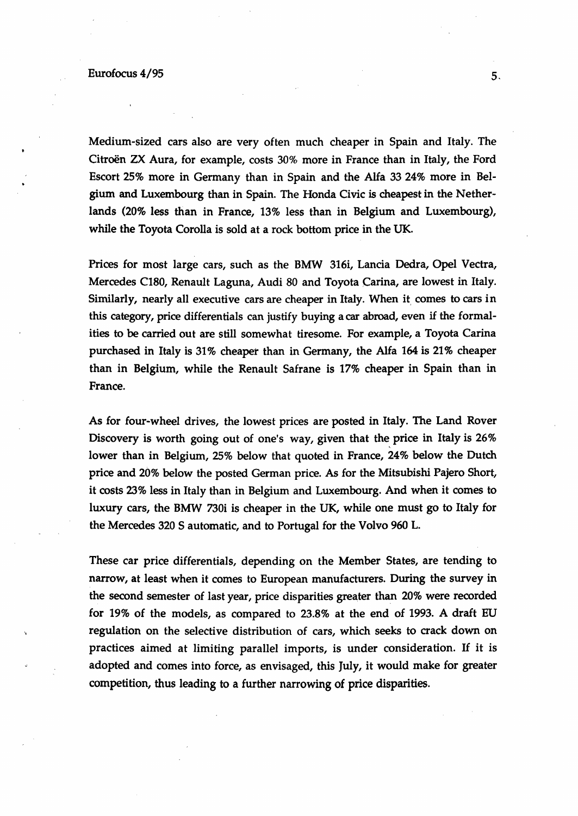## $\frac{2}{3}$  Eurofocus 4/95 s.

Medium-sized cars also are very often much cheaper in Spain and Italy. The Citroën ZX Aura, for example, costs 30% more in France than in Italy, the Ford Escort 25% more in Germany than in Spain and the Alfa 33 24% more in Belgium and Luxembourg than in Spain. The Honda Civic is cheapest in the Netherlands (20% less than in France, 13% less than in Belgium and Luxembourg), while the Toyota Corolla is sold at a rock bottom price in the UK.

Prices for most large cars, such as the BMW 316i, Lancia Dedra, Opel Vectra, Mercedes C180, Renault Laguna, Audi 80 and Toyota Carina, are lowest in Italy. Similarly, nearly all executive cars are cheaper in Italy. When it comes to cars in this category, price differentials can justify buying a car abroad, even if the formalities to be carried out are still somewhat tiresome. For example, a Toyota Carina purchased in Italy is 31% cheaper than in Germany, the Alfa 164 is 21% cheaper than in Belgium, while the Renault Safrane is 17% cheaper in Spain than in France.

As for four-wheel drives, the lowest prices are posted in Italy. The Land Rover Discovery is worth going out of one's way, given that the price in Italy is  $26\%$ lower than in Belgium, 25% below that quoted in France, 24% below the Dutch price and 20% below the posted German price. As for the Mitsubishi Pajero Short, it costs 23% less in Italy than in Belgium and Luxembourg. And when it comes to luxury cars, the BMW 730i is cheaper in the UK, while one must go to Italy for the Mercedes 320 S automatic, and to Portugal for the Volvo 960 L.

These car price differentials, depending on the Member States, are tending to narrow, at least when it comes to European manufacturers. During the survey in the second semester of last year, price disparities greater than 20% were recorded for 19% of the models, as compared to 23.8% at the end of 1993. A draft EU regulation on the selective distribution of cars, which seeks to crack down on practices aimed at limiting parallel imports, is under consideration. If it is adopted and comes into force, as envisaged, this July, it would make for greater competition, thus leading to a further narrowing of price disparities.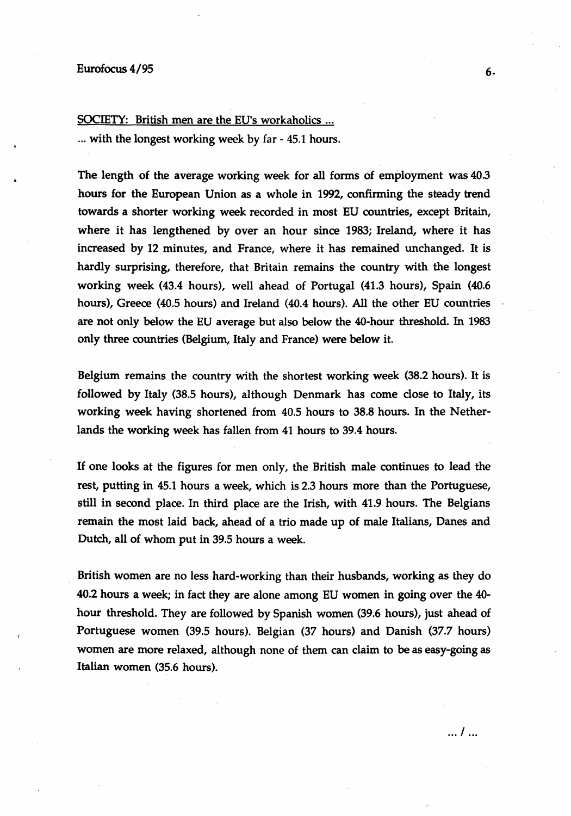## SOCIETY: British men are the EU's workaholics ...

... with the longest working week by far - 45.1 hours.

The length of the average working week for all forms of employment was 40.3 hours for the European Union as a whole in 1992, confirming the steady trend towards a shorter working week recorded in most EU countries, except Britain, where it has lengthened by over an hour since 1983; Ireland, where it has increased by 12 minutes, and France, where it has remained unchanged. It is hardly surprising, therefore, that Britain remains the country with the longest working week (43.4 hours), well ahead of Portugal (41.3 hours), Spain (40.6 hours), Greece (40.5 hours) and Ireland (40.4 hours). All the other EU countries are not only below the EU average but also below the 40-hour threshold. In 1983 only three countries (Belgium, Italy and France) were below it.

Belgium remains the country with the shortest working week (38.2 hours). It is followed by Italy (38.5 hours), although Denmark has come close to Italy, its working week having shortened from 40.5 hours to 38.8 hours. In the Netherlands the working week has fallen from 41 hours to 39.4 hours.

If one looks at the figures for men only, the British male continues to lead the rest, putting in 45.1 hours a week, which is 2.3 hours more than the Portuguese, still in second place. In third place are the Irish, with 41.9 hours. The Belgians remain the most laid back, ahead of a trio made up of male Italians, Danes and Dutch, all of whom put in 39.5 hours a week.

British women are no less hard-working than their husbands, working as they do 40.2 hours a week; in fact they are alone among EU women in going over the 40 hour threshold. They are followed by Spanish women (39.6 hours), just ahead of Portuguese women (39.5 hours). Belgian (37 hours) and Danish (37.7 hours) women are more relaxed, although none of them can claim to be as easy-going as Italian women (35.6 hours).

. .. I ...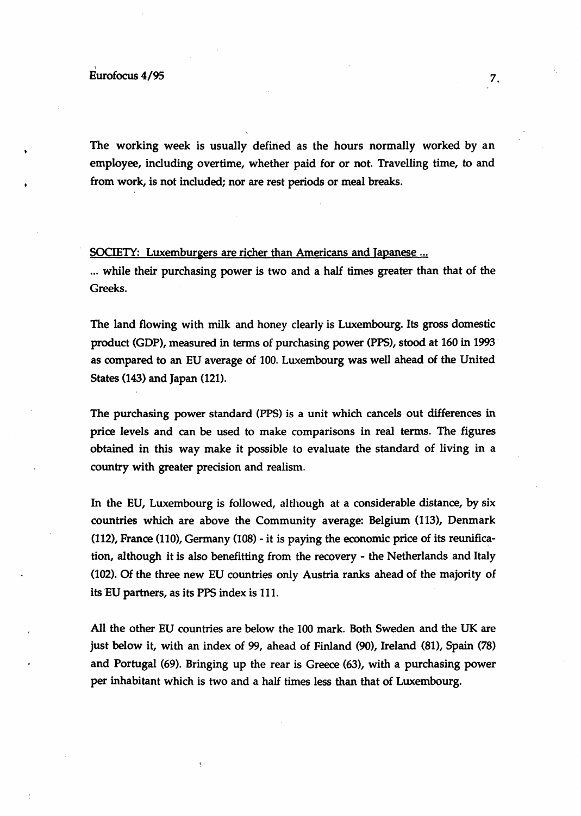The working week is usually defined as the hours normally worked by an employee, including overtime, whether paid for or not. Travelling time, to and from work, is not included; nor are rest periods or meal breaks.

## SOCIETY: Luxemburgers are richer than Americans and Japanese ...

... while their purchasing power is two and a half times greater than that of the Greeks.

The land flowing with milk and honey clearly is Luxembourg. Its gross domestic product (GDP), measured in terms of purchasing power (PPS), stood at 160 in 1993 · as compared to an EU average of 100. Luxembourg was well ahead of the United States (143) and Japan (121).

The purchasing power standard (PPS) is a unit which cancels out differences in price levels and can be used to make comparisons in real terms. The figures obtained in this way make it possible to evaluate the standard of living in a country with greater precision and realism.

In the EU, Luxembourg is followed, although at a considerable distance, by six countries which are above the Community average: Belgium (113), Denmark (112), France (110), Germany (108)- it is paying the economic price of its reunification, although it is also benefitting from the recovery- the Netherlands and Italy (102). Of the three new EU countries only Austria ranks ahead of the majority of its'EU partners, as its PPS index is 111.

All the other EU countries are below the 100 mark. Both Sweden and the UK are just below it, with an index of 99, ahead of Finland (90), Ireland (81), Spain (78) and Portugal (69). Bringing up the rear is Greece (63), with a purchasing power per inhabitant which is two and a half times less than that of Luxembourg.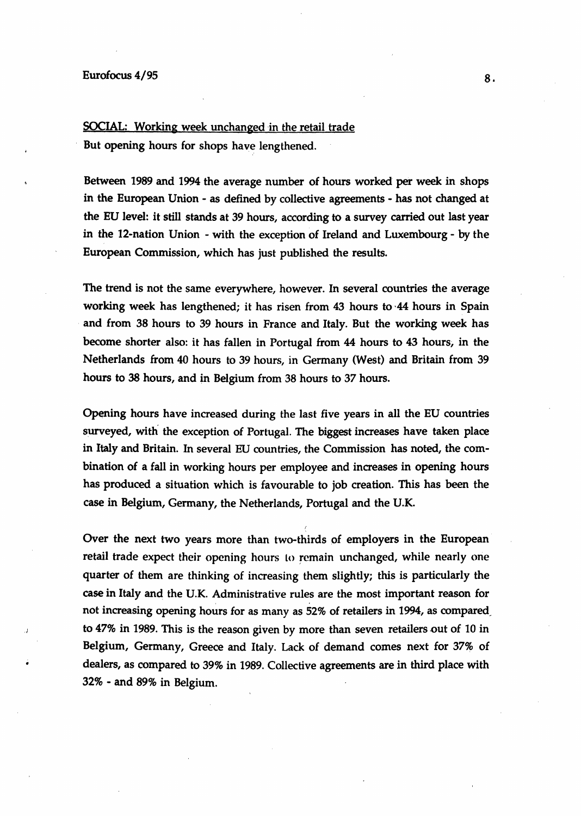•

## SOCIAL: Working week unchanged in the retail trade

But opening hours for shops have lengthened.

Between 1989 and 1994 the average number of hours worked per week in shops in the European Union- as defined by collective agreements- has not changed at the EU level: it still stands at 39 hours, according to a survey carried out last year in the 12-nation Union - with the exception of Ireland and Luxembourg - by the European Commission, which has just published the results.

The trend is not the same everywhere, however. In several countries the average working week has lengthened; it has risen from 43 hours to ·44 hours in Spain and from 38 hours to 39 hours in France and Italy. But the working week has become shorter also: it has fallen in Portugal from 44 hours to 43 hours, in the Netherlands from 40 hours to 39 hours, in Germany (West) and Britain from 39 hours to 38 hours, and in Belgium from 38 hours to 37 hours.

Opening hours have increased during the last five years in all the EU countries surveyed, with the exception of Portugal. The biggest increases have taken place in Italy and Britain. In several EU countries, the Commission has noted, the combination of a fall in working hours per employee and increases in opening hours has produced a situation which is favourable to job creation. This has been the case in Belgium, Germany, the Netherlands, Portugal and the U.K.

Over the next two years more than two-thirds of employers in the European retail trade expect their opening hours to remain unchanged, while nearly one quarter of them are thinking of increasing them slightly; this is particularly the case in Italy and the U.K. Administrative rules are the most important reason for not increasing opening hours for as many as 52% of retailers in 1994, as compared\_ to  $47\%$  in 1989. This is the reason given by more than seven retailers out of 10 in Belgium, Germany, Greece and Italy. Lack of demand comes next for 37% of dealers, as compared to 39% in 1989. Collective agreements are in third place with 32% - and 89% in Belgium.